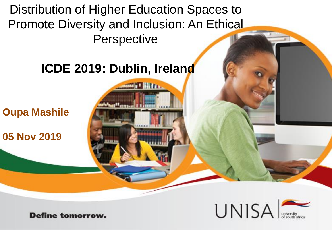Distribution of Higher Education Spaces to Promote Diversity and Inclusion: An Ethical **Perspective** 

### **ICDE 2019: Dublin, Ireland**

r Hm.

**Oupa Mashile**

**05 Nov 2019**



**Define tomorrow.**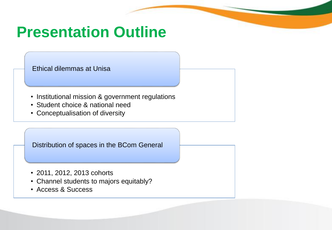# **Presentation Outline**

Ethical dilemmas at Unisa

- Institutional mission & government regulations
- Student choice & national need
- Conceptualisation of diversity

Distribution of spaces in the BCom General

- 2011, 2012, 2013 cohorts
- Channel students to majors equitably?
- Access & Success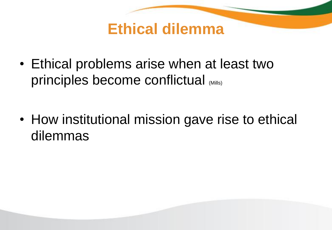

• Ethical problems arise when at least two principles become conflictual (Mills)

• How institutional mission gave rise to ethical dilemmas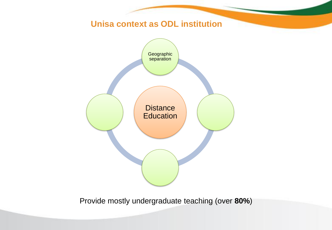

Provide mostly undergraduate teaching (over **80%**)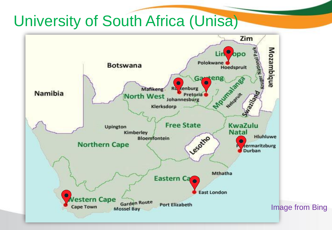# University of South Africa (Unisa)

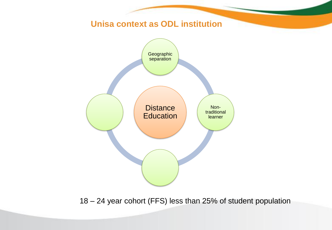

18 – 24 year cohort (FFS) less than 25% of student population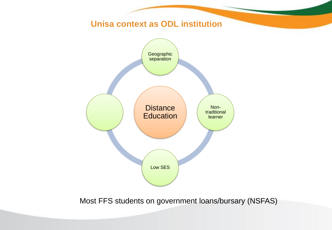

Most FFS students on government loans/bursary (NSFAS)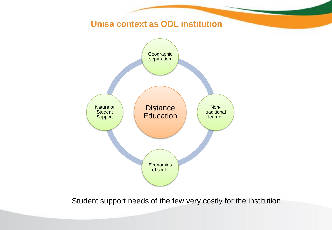

Student support needs of the few very costly for the institution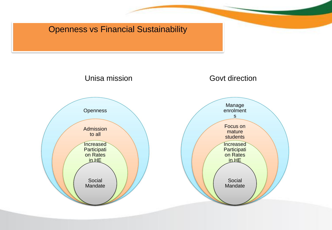### Openness vs Financial Sustainability

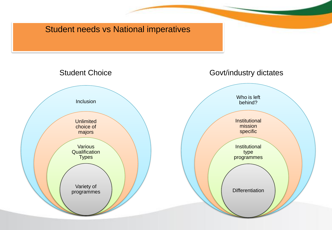#### Student needs vs National imperatives

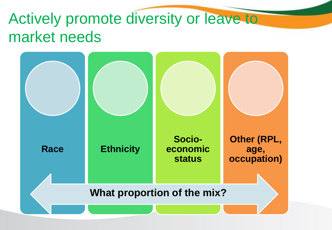# Actively promote diversity or leave to market needs

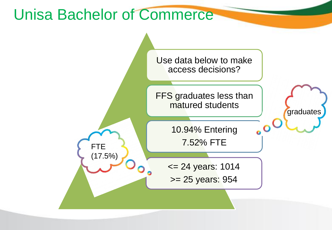## Unisa Bachelor of Commerce

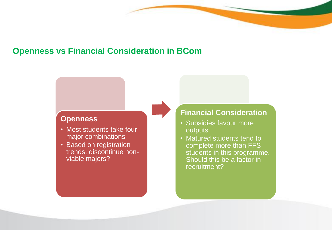#### **Openness vs Financial Consideration in BCom**

#### **Openness**

- Most students take four major combinations
- Based on registration trends, discontinue nonviable majors?

#### **Financial Consideration**

- Subsidies favour more outputs
- Matured students tend to complete more than FFS students in this programme. Should this be a factor in recruitment?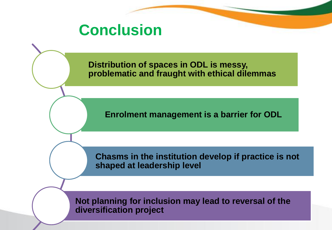## **Conclusion**

**Distribution of spaces in ODL is messy, problematic and fraught with ethical dilemmas**

**Enrolment management is a barrier for ODL**

**Chasms in the institution develop if practice is not shaped at leadership level**

**Not planning for inclusion may lead to reversal of the diversification project**